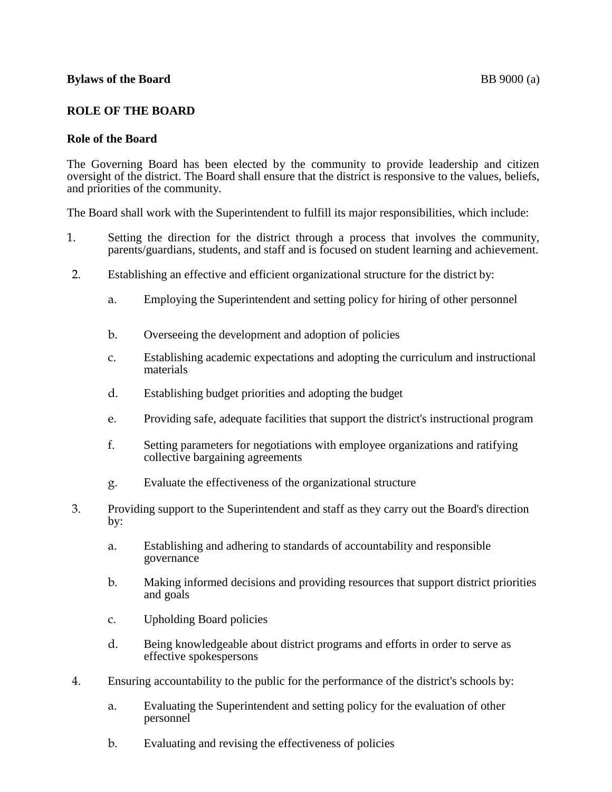#### **Bylaws of the Board** BB 9000 (a)

### **ROLE OF THE BOARD**

#### **Role of the Board**

The Governing Board has been elected by the community to provide leadership and citizen oversight of the district. The Board shall ensure that the district is responsive to the values, beliefs, and priorities of the community.

The Board shall work with the Superintendent to fulfill its major responsibilities, which include:

- 1. Setting the direction for the district through a process that involves the community, parents/guardians, students, and staff and is focused on student learning and achievement.
- 2. Establishing an effective and efficient organizational structure for the district by:
	- a. Employing the Superintendent and setting policy for hiring of other personnel
	- b. Overseeing the development and adoption of policies
	- c. Establishing academic expectations and adopting the curriculum and instructional materials
	- d. Establishing budget priorities and adopting the budget
	- e. Providing safe, adequate facilities that support the district's instructional program
	- f. Setting parameters for negotiations with employee organizations and ratifying collective bargaining agreements
	- g. Evaluate the effectiveness of the organizational structure
- 3. Providing support to the Superintendent and staff as they carry out the Board's direction by:
	- a. Establishing and adhering to standards of accountability and responsible governance
	- b. Making informed decisions and providing resources that support district priorities and goals
	- c. Upholding Board policies
	- d. Being knowledgeable about district programs and efforts in order to serve as effective spokespersons
- 4. Ensuring accountability to the public for the performance of the district's schools by:
	- a. Evaluating the Superintendent and setting policy for the evaluation of other personnel
	- b. Evaluating and revising the effectiveness of policies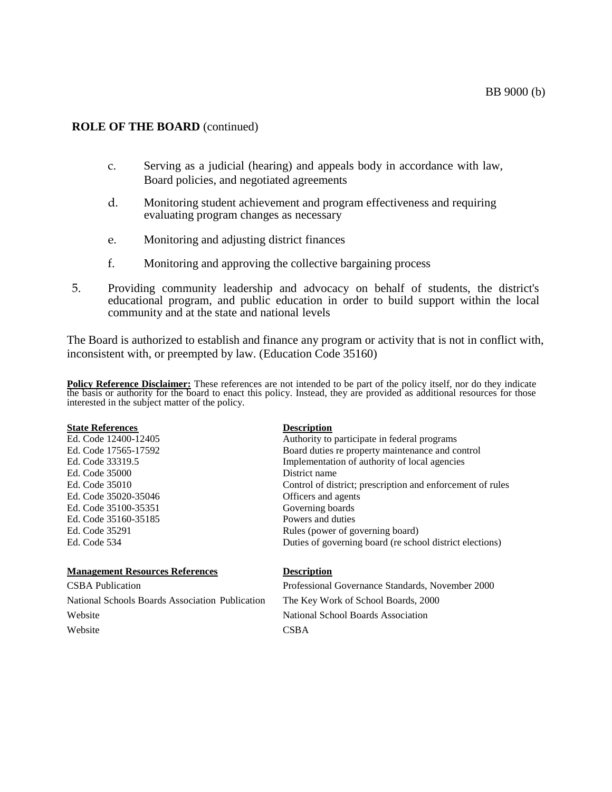#### **ROLE OF THE BOARD** (continued)

- c. Serving as a judicial (hearing) and appeals body in accordance with law, Board policies, and negotiated agreements
- d. Monitoring student achievement and program effectiveness and requiring evaluating program changes as necessary
- e. Monitoring and adjusting district finances
- f. Monitoring and approving the collective bargaining process
- 5. Providing community leadership and advocacy on behalf of students, the district's educational program, and public education in order to build support within the local community and at the state and national levels

The Board is authorized to establish and finance any program or activity that is not in conflict with, inconsistent with, or preempted by law. (Education Code 35160)

**Policy Reference Disclaimer:** These references are not intended to be part of the policy itself, nor do they indicate the basis or authority for the board to enact this policy. Instead, they are provided as additional resources for those interested in the subject matter of the policy.

| <b>State References</b>                | <b>Description</b>                                         |
|----------------------------------------|------------------------------------------------------------|
| Ed. Code 12400-12405                   | Authority to participate in federal programs               |
| Ed. Code 17565-17592                   | Board duties re property maintenance and control           |
| Ed. Code 33319.5                       | Implementation of authority of local agencies              |
| Ed. Code 35000                         | District name                                              |
| Ed. Code 35010                         | Control of district; prescription and enforcement of rules |
| Ed. Code 35020-35046                   | Officers and agents                                        |
| Ed. Code 35100-35351                   | Governing boards                                           |
| Ed. Code 35160-35185                   | Powers and duties                                          |
| Ed. Code 35291                         | Rules (power of governing board)                           |
| Ed. Code 534                           | Duties of governing board (re school district elections)   |
| <b>Management Resources References</b> | Descrintion                                                |

| <b>CSBA</b> Publication                         | Professional Governance Standards, November 2000 |
|-------------------------------------------------|--------------------------------------------------|
| National Schools Boards Association Publication | The Key Work of School Boards, 2000              |
| Website                                         | National School Boards Association               |
| Website                                         | <b>CSBA</b>                                      |
|                                                 |                                                  |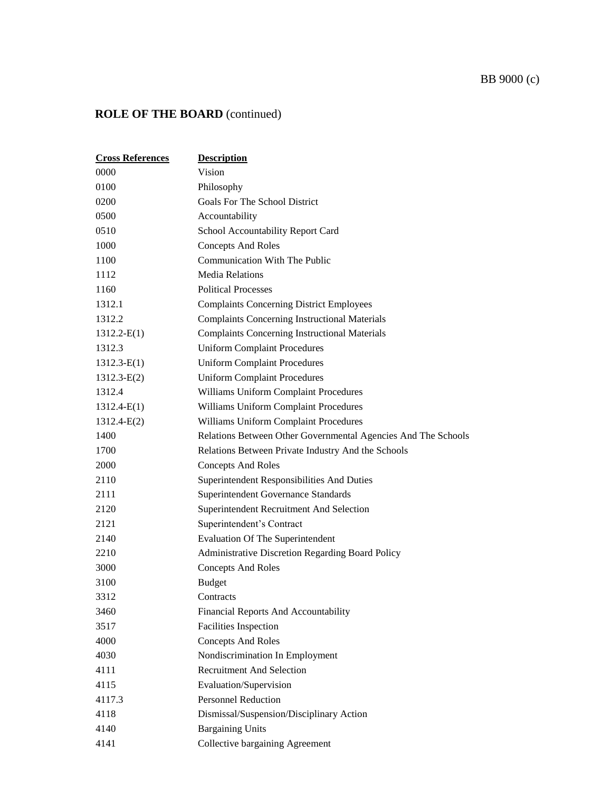# BB 9000 (c)

# **ROLE OF THE BOARD** (continued)

| <b>Cross References</b> | <b>Description</b>                                            |
|-------------------------|---------------------------------------------------------------|
| 0000                    | Vision                                                        |
| 0100                    | Philosophy                                                    |
| 0200                    | Goals For The School District                                 |
| 0500                    | Accountability                                                |
| 0510                    | School Accountability Report Card                             |
| 1000                    | <b>Concepts And Roles</b>                                     |
| 1100                    | Communication With The Public                                 |
| 1112                    | <b>Media Relations</b>                                        |
| 1160                    | <b>Political Processes</b>                                    |
| 1312.1                  | <b>Complaints Concerning District Employees</b>               |
| 1312.2                  | <b>Complaints Concerning Instructional Materials</b>          |
| $1312.2-E(1)$           | <b>Complaints Concerning Instructional Materials</b>          |
| 1312.3                  | <b>Uniform Complaint Procedures</b>                           |
| $1312.3 - E(1)$         | <b>Uniform Complaint Procedures</b>                           |
| $1312.3 - E(2)$         | <b>Uniform Complaint Procedures</b>                           |
| 1312.4                  | Williams Uniform Complaint Procedures                         |
| $1312.4-E(1)$           | Williams Uniform Complaint Procedures                         |
| $1312.4-E(2)$           | Williams Uniform Complaint Procedures                         |
| 1400                    | Relations Between Other Governmental Agencies And The Schools |
| 1700                    | Relations Between Private Industry And the Schools            |
| 2000                    | <b>Concepts And Roles</b>                                     |
| 2110                    | Superintendent Responsibilities And Duties                    |
| 2111                    | <b>Superintendent Governance Standards</b>                    |
| 2120                    | Superintendent Recruitment And Selection                      |
| 2121                    | Superintendent's Contract                                     |
| 2140                    | <b>Evaluation Of The Superintendent</b>                       |
| 2210                    | Administrative Discretion Regarding Board Policy              |
| 3000                    | <b>Concepts And Roles</b>                                     |
| 3100                    | <b>Budget</b>                                                 |
| 3312                    | Contracts                                                     |
| 3460                    | Financial Reports And Accountability                          |
| 3517                    | <b>Facilities Inspection</b>                                  |
| 4000                    | <b>Concepts And Roles</b>                                     |
| 4030                    | Nondiscrimination In Employment                               |
| 4111                    | <b>Recruitment And Selection</b>                              |
| 4115                    | Evaluation/Supervision                                        |
| 4117.3                  | <b>Personnel Reduction</b>                                    |
| 4118                    | Dismissal/Suspension/Disciplinary Action                      |
| 4140                    | <b>Bargaining Units</b>                                       |
| 4141                    | Collective bargaining Agreement                               |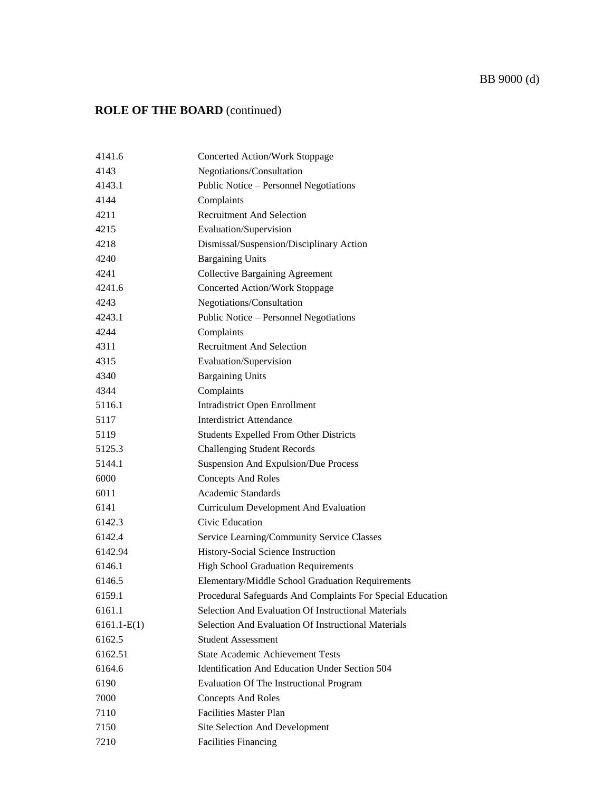# BB 9000 (d)

### **ROLE OF THE BOARD** (continued)

| 4141.6        | <b>Concerted Action/Work Stoppage</b>                      |
|---------------|------------------------------------------------------------|
| 4143          | Negotiations/Consultation                                  |
| 4143.1        | Public Notice – Personnel Negotiations                     |
| 4144          | Complaints                                                 |
| 4211          | <b>Recruitment And Selection</b>                           |
| 4215          | Evaluation/Supervision                                     |
| 4218          | Dismissal/Suspension/Disciplinary Action                   |
| 4240          | <b>Bargaining Units</b>                                    |
| 4241          | <b>Collective Bargaining Agreement</b>                     |
| 4241.6        | <b>Concerted Action/Work Stoppage</b>                      |
| 4243          | Negotiations/Consultation                                  |
| 4243.1        | Public Notice - Personnel Negotiations                     |
| 4244          | Complaints                                                 |
| 4311          | <b>Recruitment And Selection</b>                           |
| 4315          | Evaluation/Supervision                                     |
| 4340          | <b>Bargaining Units</b>                                    |
| 4344          | Complaints                                                 |
| 5116.1        | <b>Intradistrict Open Enrollment</b>                       |
| 5117          | <b>Interdistrict Attendance</b>                            |
| 5119          | <b>Students Expelled From Other Districts</b>              |
| 5125.3        | <b>Challenging Student Records</b>                         |
| 5144.1        | <b>Suspension And Expulsion/Due Process</b>                |
| 6000          | <b>Concepts And Roles</b>                                  |
| 6011          | <b>Academic Standards</b>                                  |
| 6141          | <b>Curriculum Development And Evaluation</b>               |
| 6142.3        | Civic Education                                            |
| 6142.4        | Service Learning/Community Service Classes                 |
| 6142.94       | History-Social Science Instruction                         |
| 6146.1        | <b>High School Graduation Requirements</b>                 |
| 6146.5        | Elementary/Middle School Graduation Requirements           |
| 6159.1        | Procedural Safeguards And Complaints For Special Education |
| 6161.1        | Selection And Evaluation Of Instructional Materials        |
| $6161.1-E(1)$ | <b>Selection And Evaluation Of Instructional Materials</b> |
| 6162.5        | <b>Student Assessment</b>                                  |
| 6162.51       | <b>State Academic Achievement Tests</b>                    |
| 6164.6        | Identification And Education Under Section 504             |
| 6190          | <b>Evaluation Of The Instructional Program</b>             |
| 7000          | <b>Concepts And Roles</b>                                  |
| 7110          | <b>Facilities Master Plan</b>                              |
| 7150          | Site Selection And Development                             |
| 7210          | <b>Facilities Financing</b>                                |
|               |                                                            |